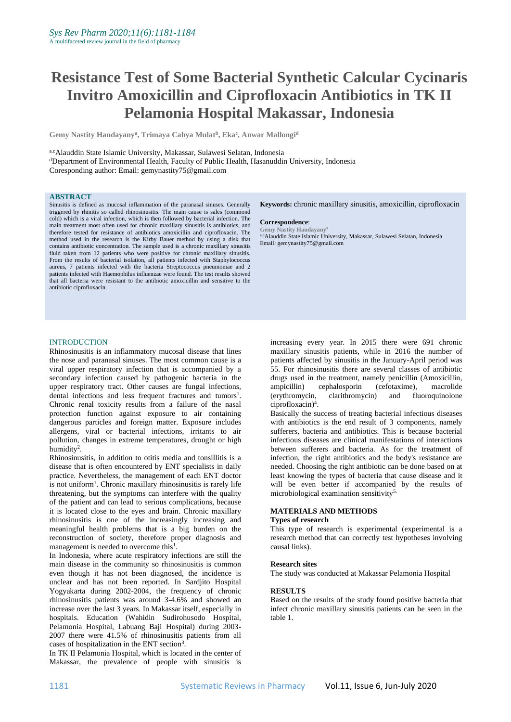# **Resistance Test of Some Bacterial Synthetic Calcular Cycinaris Invitro Amoxicillin and Ciprofloxacin Antibiotics in TK II Pelamonia Hospital Makassar, Indonesia**

**Gemy Nastity Handayany<sup>a</sup> , Trimaya Cahya Mulat<sup>b</sup> , Eka<sup>c</sup> , Anwar Mallongi<sup>d</sup>**

a.cAlauddin State Islamic University, Makassar, Sulawesi Selatan, Indonesia <sup>d</sup>Department of Environmental Health, Faculty of Public Health, Hasanuddin University, Indonesia Coresponding author: Email: gemynastity75@gmail.com

#### **ABSTRACT**

Sinusitis is defined as mucosal inflammation of the paranasal sinuses. Generally triggered by rhinitis so called rhinosinusitis. The main cause is sales (commond cold) which is a viral infection, which is then followed by bacterial infection. The main treatment most often used for chronic maxillary sinusitis is antibiotics, and therefore tested for resistance of antibiotics amoxicillin and ciprofloxacin. The method used in the research is the Kirby Bauer method by using a disk that contains antibiotic concentration. The sample used is a chronic maxillary sinusitis fluid taken from 12 patients who were positive for chronic maxillary sinusitis. From the results of bacterial isolation, all patients infected with Staphylococcus aureus, 7 patients infected with the bacteria Streptococcus pneumoniae and 2 patients infected with Haemophilus influenzae were found. The test results showed that all bacteria were resistant to the antibiotic amoxicillin and sensitive to the antibiotic ciprofloxacin.

**Keywords:** chronic maxillary sinusitis, amoxicillin, ciprofloxacin

#### **Correspondence**:

**Gemy Nastity Handayany<sup>a</sup>** a.cAlauddin State Islamic University, Makassar, Sulawesi Selatan, Indonesia Email: gemynastity75@gmail.com

# **INTRODUCTION**

Rhinosinusitis is an inflammatory mucosal disease that lines the nose and paranasal sinuses. The most common cause is a viral upper respiratory infection that is accompanied by a secondary infection caused by pathogenic bacteria in the upper respiratory tract. Other causes are fungal infections, dental infections and less frequent fractures and tumors<sup>1</sup>. Chronic renal toxicity results from a failure of the nasal protection function against exposure to air containing dangerous particles and foreign matter. Exposure includes allergens, viral or bacterial infections, irritants to air pollution, changes in extreme temperatures, drought or high humidity<sup>2</sup>.

Rhinosinusitis, in addition to otitis media and tonsillitis is a disease that is often encountered by ENT specialists in daily practice. Nevertheless, the management of each ENT doctor is not uniform<sup>1</sup>. Chronic maxillary rhinosinusitis is rarely life threatening, but the symptoms can interfere with the quality of the patient and can lead to serious complications, because it is located close to the eyes and brain. Chronic maxillary rhinosinusitis is one of the increasingly increasing and meaningful health problems that is a big burden on the reconstruction of society, therefore proper diagnosis and management is needed to overcome this $<sup>1</sup>$ .</sup>

In Indonesia, where acute respiratory infections are still the main disease in the community so rhinosinusitis is common even though it has not been diagnosed, the incidence is unclear and has not been reported. In Sardjito Hospital Yogyakarta during 2002-2004, the frequency of chronic rhinosinusitis patients was around 3-4.6% and showed an increase over the last 3 years. In Makassar itself, especially in hospitals. Education (Wahidin Sudirohusodo Hospital, Pelamonia Hospital, Labuang Baji Hospital) during 2003- 2007 there were 41.5% of rhinosinusitis patients from all cases of hospitalization in the ENT section<sup>3</sup>.

In TK II Pelamonia Hospital, which is located in the center of Makassar, the prevalence of people with sinusitis is

increasing every year. In 2015 there were 691 chronic maxillary sinusitis patients, while in 2016 the number of patients affected by sinusitis in the January-April period was 55. For rhinosinusitis there are several classes of antibiotic drugs used in the treatment, namely penicillin (Amoxicillin, ampicillin) cephalosporin (cefotaxime), macrolide (erythromycin, clarithromycin) and fluoroquinolone ciprofloxacin)<sup>4</sup> .

Basically the success of treating bacterial infectious diseases with antibiotics is the end result of 3 components, namely sufferers, bacteria and antibiotics. This is because bacterial infectious diseases are clinical manifestations of interactions between sufferers and bacteria. As for the treatment of infection, the right antibiotics and the body's resistance are needed. Choosing the right antibiotic can be done based on at least knowing the types of bacteria that cause disease and it will be even better if accompanied by the results of microbiological examination sensitivity<sup>5.</sup>

#### **MATERIALS AND METHODS Types of research**

This type of research is experimental (experimental is a research method that can correctly test hypotheses involving causal links).

#### **Research sites**

The study was conducted at Makassar Pelamonia Hospital

#### **RESULTS**

Based on the results of the study found positive bacteria that infect chronic maxillary sinusitis patients can be seen in the table 1.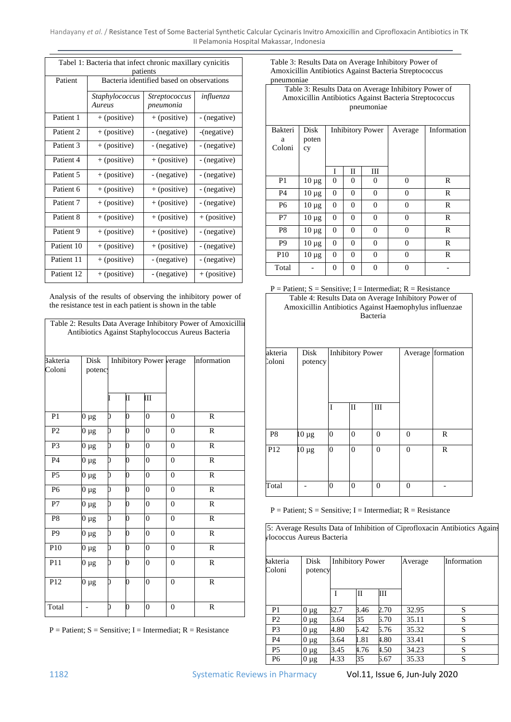Handayany *et al*. / Resistance Test of Some Bacterial Synthetic Calcular Cycinaris Invitro Amoxicillin and Ciprofloxacin Antibiotics in TK II Pelamonia Hospital Makassar, Indonesia

| Tabel 1: Bacteria that infect chronic maxillary cynicitis<br>patients |                                           |                |              |  |  |  |  |  |  |
|-----------------------------------------------------------------------|-------------------------------------------|----------------|--------------|--|--|--|--|--|--|
| Patient                                                               | Bacteria identified based on observations |                |              |  |  |  |  |  |  |
|                                                                       | Staphylococcus<br>Aureus                  | influenza      |              |  |  |  |  |  |  |
| Patient 1                                                             | + (positive)                              | + (positive)   | - (negative) |  |  |  |  |  |  |
| Patient <sub>2</sub>                                                  | $+$ (positive)                            | - (negative)   | -(negative)  |  |  |  |  |  |  |
| Patient <sub>3</sub>                                                  | + (positive)                              | - (negative)   | - (negative) |  |  |  |  |  |  |
| Patient 4                                                             | + (positive)                              | $+$ (positive) | - (negative) |  |  |  |  |  |  |
| Patient 5                                                             | + (positive)                              | - (negative)   | - (negative) |  |  |  |  |  |  |
| Patient 6                                                             | + (positive)                              | + (positive)   | - (negative) |  |  |  |  |  |  |
| Patient <sub>7</sub>                                                  | + (positive)                              | $+$ (positive) | - (negative) |  |  |  |  |  |  |
| Patient 8                                                             | + (positive)                              | + (positive)   | + (positive) |  |  |  |  |  |  |
| Patient <sub>9</sub>                                                  | + (positive)                              | $+$ (positive) | - (negative) |  |  |  |  |  |  |
| Patient 10                                                            | + (positive)                              | $+$ (positive) | - (negative) |  |  |  |  |  |  |
| Patient 11                                                            | + (positive)                              | - (negative)   | - (negative) |  |  |  |  |  |  |
| Patient 12                                                            | + (positive)                              | - (negative)   | + (positive) |  |  |  |  |  |  |

Analysis of the results of observing the inhibitory power of the resistance test in each patient is shown in the table

|                           |                |   |   |                         |                | Table 2: Results Data Average Inhibitory Power of Amoxicillin<br>Antibiotics Against Staphylococcus Aureus Bacteria |
|---------------------------|----------------|---|---|-------------------------|----------------|---------------------------------------------------------------------------------------------------------------------|
| <b>Bakteria</b><br>Coloni | Disk<br>potenc |   |   | Inhibitory Power verage |                | Information                                                                                                         |
|                           |                |   | Π | Ш                       |                |                                                                                                                     |
| P <sub>1</sub>            | $0 \mu g$      | 0 | 0 | $\overline{0}$          | $\Omega$       | $\mathbb{R}$                                                                                                        |
| P <sub>2</sub>            | $0 \mu g$      | 0 | 0 | $\theta$                | $\theta$       | $\mathbb{R}$                                                                                                        |
| P <sub>3</sub>            | $0 \mu g$      | 0 | 0 | $\overline{0}$          | $\mathbf{0}$   | $\mathbb{R}$                                                                                                        |
| <b>P4</b>                 | $0 \mu g$      | D | 0 | $\theta$                | $\Omega$       | $\mathbf R$                                                                                                         |
| P <sub>5</sub>            | $0 \mu g$      | D | 0 | $\overline{0}$          | $\theta$       | $\mathbb{R}$                                                                                                        |
| P <sub>6</sub>            | $0 \mu g$      | 0 | 0 | $\overline{0}$          | $\overline{0}$ | $\mathbb{R}$                                                                                                        |
| P7                        | $0 \mu g$      | 0 | 0 | $\overline{0}$          | $\theta$       | $\mathbb{R}$                                                                                                        |
| P <sub>8</sub>            | $0 \mu g$      | 0 | 0 | $\overline{0}$          | $\overline{0}$ | $\mathbb{R}$                                                                                                        |
| P <sub>9</sub>            | $0 \mu g$      | D | 0 | $\overline{0}$          | $\overline{0}$ | $\mathbb{R}$                                                                                                        |
| P <sub>10</sub>           | $0 \mu g$      | 0 | 0 | $\theta$                | $\overline{0}$ | $\mathbf R$                                                                                                         |
| P11                       | $0 \mu g$      | 0 | 0 | $\overline{0}$          | $\overline{0}$ | $\mathbf R$                                                                                                         |
| P12                       | $0 \mu g$      | D | 0 | $\overline{0}$          | $\overline{0}$ | $\mathbb{R}$                                                                                                        |
| Total                     |                | D | 0 | $\boldsymbol{0}$        | $\overline{0}$ | R                                                                                                                   |

 $P =$  Patient;  $S =$  Sensitive; I = Intermediat;  $R =$  Resistance

Table 3: Results Data on Average Inhibitory Power of Amoxicillin Antibiotics Against Bacteria Streptococcus pneumoniae

| Table 3: Results Data on Average Inhibitory Power of<br>Amoxicillin Antibiotics Against Bacteria Streptococcus |            |                                                                     |                |                         |                |             |  |  |  |  |  |
|----------------------------------------------------------------------------------------------------------------|------------|---------------------------------------------------------------------|----------------|-------------------------|----------------|-------------|--|--|--|--|--|
| pneumoniae                                                                                                     |            |                                                                     |                |                         |                |             |  |  |  |  |  |
|                                                                                                                |            |                                                                     |                |                         |                |             |  |  |  |  |  |
| Bakteri                                                                                                        | Disk       |                                                                     |                | <b>Inhibitory Power</b> | Average        | Information |  |  |  |  |  |
| a                                                                                                              | poten      |                                                                     |                |                         |                |             |  |  |  |  |  |
| Coloni                                                                                                         | cy         |                                                                     |                |                         |                |             |  |  |  |  |  |
|                                                                                                                |            |                                                                     |                |                         |                |             |  |  |  |  |  |
|                                                                                                                |            | T<br>П<br>Ш                                                         |                |                         |                |             |  |  |  |  |  |
| P <sub>1</sub>                                                                                                 | $10 \mu g$ | $\theta$                                                            | $\Omega$       | 0                       | $\Omega$       | R           |  |  |  |  |  |
| P <sub>4</sub>                                                                                                 | $10 \mu g$ | $\overline{0}$                                                      | $\overline{0}$ | $\overline{0}$          | $\overline{0}$ | R           |  |  |  |  |  |
| P <sub>6</sub>                                                                                                 | $10 \mu g$ | $\overline{0}$                                                      | $\Omega$       | 0                       | $\Omega$       | R           |  |  |  |  |  |
| P7                                                                                                             | $10 \mu g$ | $\overline{0}$                                                      | $\theta$       | $\overline{0}$          | $\Omega$       | R           |  |  |  |  |  |
| P <sub>8</sub>                                                                                                 | $10 \mu g$ | $\overline{0}$<br>$\overline{0}$<br>$\overline{0}$<br>R<br>$\Omega$ |                |                         |                |             |  |  |  |  |  |
| P9                                                                                                             | $10 \mu g$ | $\overline{0}$                                                      | $\Omega$       | $\overline{0}$          | $\overline{0}$ | R           |  |  |  |  |  |
| P <sub>10</sub>                                                                                                | $10 \mu g$ | $\overline{0}$                                                      | $\overline{0}$ | $\overline{0}$          | $\Omega$       | R           |  |  |  |  |  |
| Total                                                                                                          |            | 0                                                                   | $\mathbf{0}$   | 0                       | $\Omega$       |             |  |  |  |  |  |

 $P =$  Patient;  $S =$  Sensitive; I = Intermediat;  $R =$  Resistance



| akteria         | Disk       |                | <b>Inhibitory Power</b> |              |          | Average formation |
|-----------------|------------|----------------|-------------------------|--------------|----------|-------------------|
| Coloni          | potency    |                |                         |              |          |                   |
|                 |            |                |                         |              |          |                   |
|                 |            |                |                         |              |          |                   |
|                 |            | I              | $\mathbf{I}$            | III          |          |                   |
|                 |            |                |                         |              |          |                   |
| P <sub>8</sub>  | $10 \mu g$ | $\overline{0}$ | $\mathbf{0}$            | $\mathbf{0}$ | $\theta$ | R                 |
| P <sub>12</sub> | $10 \mu g$ | $\theta$       | $\mathbf{0}$            | $\mathbf{0}$ | $\theta$ | $\mathbb{R}$      |
|                 |            |                |                         |              |          |                   |
|                 |            |                |                         |              |          |                   |
| Total           |            | $\theta$       | $\mathbf{0}$            | $\mathbf{0}$ | $\Omega$ |                   |

 $P =$  Patient;  $S =$  Sensitive; I = Intermediat;  $R =$  Resistance

5: Average Results Data of Inhibition of Ciprofloxacin Antibiotics Agains <sub>V</sub>lococcus Aureus Bacteria

| Disk<br><b>Bakteria</b><br>Coloni<br>potency |            |      | <b>Inhibitory Power</b> |      | Average | Information |
|----------------------------------------------|------------|------|-------------------------|------|---------|-------------|
|                                              |            |      | Н                       | Ш    |         |             |
| P1                                           | $.0 \mu$ g | 32.7 | 3.46                    | 2.70 | 32.95   | S           |
| P <sub>2</sub>                               | $0 \mu$ g  | 3.64 | 35                      | 5.70 | 35.11   | S           |
| P <sub>3</sub>                               | $0 \mu$ g  | 4.80 | 5.42                    | 5.76 | 35.32   | S           |
| P <sub>4</sub>                               | $0 \mu$ g  | 3.64 | 1.81                    | 4.80 | 33.41   | S           |
| <b>P5</b>                                    | $0 \mu g$  | 3.45 | 4.76                    | 4.50 | 34.23   | S           |
| P <sub>6</sub>                               | $0 \mu$ g  | 4.33 | 35                      | 5.67 | 35.33   | S           |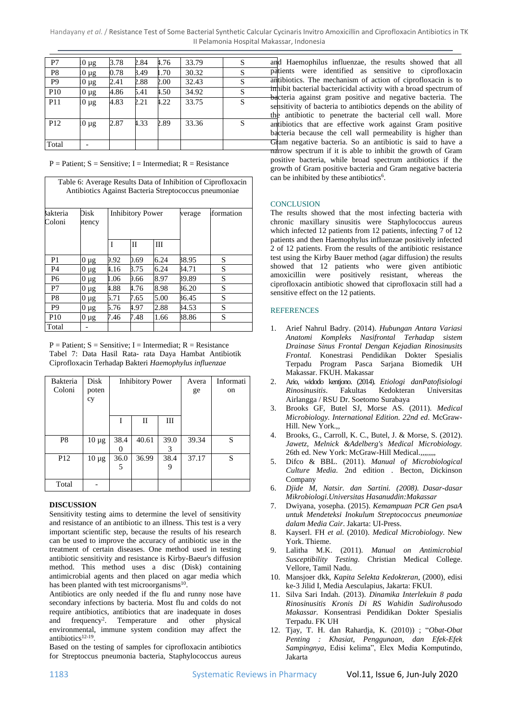Handayany *et al*. / Resistance Test of Some Bacterial Synthetic Calcular Cycinaris Invitro Amoxicillin and Ciprofloxacin Antibiotics in TK II Pelamonia Hospital Makassar, Indonesia

| P7              | $0 \mu$ g | 3.78 | 2.84 | 4.76 | 33.79 | S |
|-----------------|-----------|------|------|------|-------|---|
| P8              | $0 \mu g$ | 0.78 | 8.49 | 1.70 | 30.32 | S |
| P9              | $0 \mu g$ | 2.41 | 2.88 | 2.00 | 32.43 | S |
| <b>P10</b>      | $0 \mu$ g | 4.86 | 5.41 | 4.50 | 34.92 | S |
| <b>P11</b>      | $0 \mu$ g | 4.83 | 2.21 | 4.22 | 33.75 | S |
| P <sub>12</sub> | $0 \mu$ g | 2.87 | 4.33 | 2.89 | 33.36 | S |
| Total           |           |      |      |      |       |   |

 $P =$  Patient;  $S =$  Sensitive; I = Intermediat; R = Resistance

|                    |                |      |                         |      |        | Table 6: Average Results Data of Inhibition of Ciprofloxacin<br>Antibiotics Against Bacteria Streptococcus pneumoniae |
|--------------------|----------------|------|-------------------------|------|--------|-----------------------------------------------------------------------------------------------------------------------|
| Bakteria<br>Coloni | Disk<br>stency |      | <b>Inhibitory Power</b> |      | verage | formation                                                                                                             |
|                    |                | T    | П                       | Ш    |        |                                                                                                                       |
| P <sub>1</sub>     | $0 \mu g$      | 9.92 | ).69                    | 6.24 | 38.95  | S                                                                                                                     |
| P <sub>4</sub>     | 0 µg           | 4.16 | 3.75                    | 6.24 | 34.71  | S                                                                                                                     |
| P <sub>6</sub>     | $0 \mu g$      | 1.06 | 9.66                    | 8.97 | 39.89  | S                                                                                                                     |
| P7                 | 0 µg           | 4.88 | 4.76                    | 8.98 | 36.20  | S                                                                                                                     |
| P8                 | 0 µg           | 5.71 | 7.65                    | 5.00 | 36.45  | S                                                                                                                     |
| P <sub>9</sub>     | $0 \mu$ g      | 5.76 | 4.97                    | 2.88 | 34.53  | S                                                                                                                     |
| P <sub>10</sub>    | $0 \mu$ g      | 7.46 | 7.48                    | 1.66 | 38.86  | S                                                                                                                     |
| Total              |                |      |                         |      |        |                                                                                                                       |

 $P =$  Patient;  $S =$  Sensitive; I = Intermediat;  $R =$  Resistance Tabel 7: Data Hasil Rata- rata Daya Hambat Antibiotik Ciprofloxacin Terhadap Bakteri *Haemophylus influenzae*

| Bakteria        | Disk       |      | <b>Inhibitory Power</b> |      | Avera | Informati |
|-----------------|------------|------|-------------------------|------|-------|-----------|
| Coloni          | poten      |      |                         |      | ge    | on        |
|                 | cy         |      |                         |      |       |           |
|                 |            |      |                         |      |       |           |
|                 |            | I    | П                       | Ш    |       |           |
|                 |            |      |                         |      |       |           |
| P <sub>8</sub>  | $10 \mu g$ | 38.4 | 40.61                   | 39.0 | 39.34 | S         |
|                 |            |      |                         | 3    |       |           |
| P <sub>12</sub> | $10 \mu g$ | 36.0 | 36.99                   | 38.4 | 37.17 | S         |
|                 |            | 5    |                         |      |       |           |
|                 |            |      |                         |      |       |           |
| Total           |            |      |                         |      |       |           |

### **DISCUSSION**

Sensitivity testing aims to determine the level of sensitivity and resistance of an antibiotic to an illness. This test is a very important scientific step, because the results of his research can be used to improve the accuracy of antibiotic use in the treatment of certain diseases. One method used in testing antibiotic sensitivity and resistance is Kirby-Baeur's diffusion method. This method uses a disc (Disk) containing antimicrobial agents and then placed on agar media which has been planted with test microorganisms<sup>10</sup>.

Antibiotics are only needed if the flu and runny nose have secondary infections by bacteria. Most flu and colds do not require antibiotics, antibiotics that are inadequate in doses and frequency<sup>2</sup>. Temperature and other physical environmental, immune system condition may affect the antibiotics<sup>12-19</sup>.

Based on the testing of samples for ciprofloxacin antibiotics for Streptoccus pneumonia bacteria, Staphylococcus aureus

and Haemophilus influenzae, the results showed that all patients were identified as sensitive to ciprofloxacin antibiotics. The mechanism of action of ciprofloxacin is to inhibit bacterial bactericidal activity with a broad spectrum of bacteria against gram positive and negative bacteria. The sensitivity of bacteria to antibiotics depends on the ability of the antibiotic to penetrate the bacterial cell wall. More antibiotics that are effective work against Gram positive bacteria because the cell wall permeability is higher than Gram negative bacteria. So an antibiotic is said to have a narrow spectrum if it is able to inhibit the growth of Gram positive bacteria, while broad spectrum antibiotics if the growth of Gram positive bacteria and Gram negative bacteria can be inhibited by these antibiotics<sup>6</sup>.

## **CONCLUSION**

The results showed that the most infecting bacteria with chronic maxillary sinusitis were Staphylococcus aureus which infected 12 patients from 12 patients, infecting 7 of 12 patients and then Haemophylus influenzae positively infected 2 of 12 patients. From the results of the antibiotic resistance test using the Kirby Bauer method (agar diffusion) the results showed that 12 patients who were given antibiotic amoxicillin were positively resistant, whereas the ciprofloxacin antibiotic showed that ciprofloxacin still had a sensitive effect on the 12 patients.

### **REFERENCES**

- 1. Arief Nahrul Badry. (2014). *Hubungan Antara Variasi Anatomi Kompleks Nasifrontal Terhadap sistem Drainase Sinus Frontal Dengan Kejadian Rinosinusits Frontal.* Konestrasi Pendidikan Dokter Spesialis Terpadu Program Pasca Sarjana Biomedik UH Makassar. FKUH. Makassar
- 2. Ario, widodo kentjono. (2014). *Etiologi danPatofisiologi*   $Rinos inusitis$ . Airlangga / RSU Dr. Soetomo Surabaya
- 3. Brooks GF, Butel SJ, Morse AS. (2011). *Medical Microbiology. International Edition. 22nd ed*. McGraw-Hill. New York.,,
- 4. Brooks, G., Carroll, K. C., Butel, J. & Morse, S. (2012). *Jawetz, Melnick &Adelberg's Medical Microbiology.*  26th ed. New York: McGraw-Hill Medical.,,,,,,,
- 5. Difco & BBL. (2011). *Manual of Microbiological Culture Media*. 2nd edition . Becton, Dickinson Company
- 6. *Djide M, Natsir. dan Sartini. (2008). Dasar-dasar Mikrobiologi.Universitas Hasanuddin:Makassar*
- 7. Dwiyana, yosepha. (2015). *Kemampuan PCR Gen psaA untuk Mendeteksi Inokulum Streptococcus pneumoniae dalam Media Cair*. Jakarta: UI-Press.
- 8. Kayserl. FH *et al.* (2010). *Medical Microbiology*. New York. Thieme.
- 9. Lalitha M.K. (2011). *Manual on Antimicrobial Susceptibility Testing.* Christian Medical College. Vellore, Tamil Nadu.
- 10. Mansjoer dkk, *Kapita Selekta Kedokteran*, (2000)*,* edisi ke-3 Jilid I, Media Aesculapius, Jakarta: FKUI.
- 11. Silva Sari Indah. (2013). *Dinamika Interlekuin 8 pada Rinosinusitis Kronis Di RS Wahidin Sudirohusodo Makassar.* Konsentrasi Pendidikan Dokter Spesialis Terpadu. FK UH
- 12. Tjay, T. H. dan Rahardja, K. (2010)) ; "*Obat-Obat Penting : Khasiat, Penggunaan, dan Efek-Efek Sampingnya*, Edisi kelima", Elex Media Komputindo, Jakarta